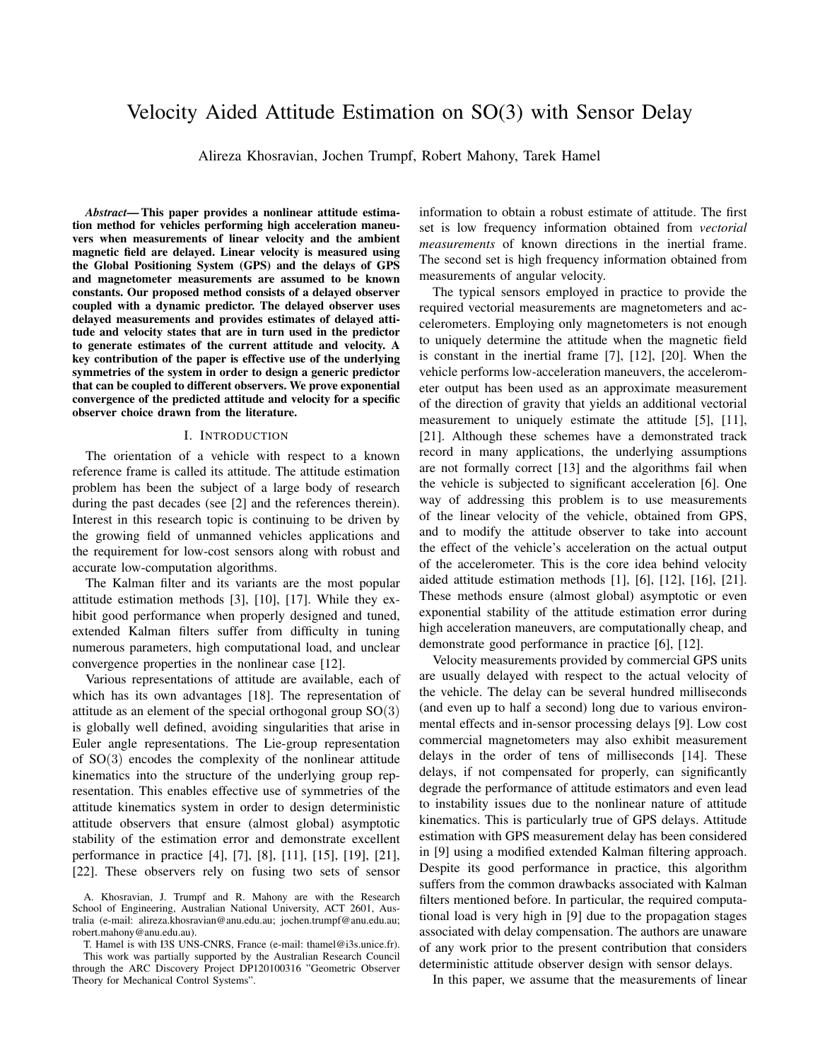# Velocity Aided Attitude Estimation on SO(3) with Sensor Delay

Alireza Khosravian, Jochen Trumpf, Robert Mahony, Tarek Hamel

*Abstract*— This paper provides a nonlinear attitude estimation method for vehicles performing high acceleration maneuvers when measurements of linear velocity and the ambient magnetic field are delayed. Linear velocity is measured using the Global Positioning System (GPS) and the delays of GPS and magnetometer measurements are assumed to be known constants. Our proposed method consists of a delayed observer coupled with a dynamic predictor. The delayed observer uses delayed measurements and provides estimates of delayed attitude and velocity states that are in turn used in the predictor to generate estimates of the current attitude and velocity. A key contribution of the paper is effective use of the underlying symmetries of the system in order to design a generic predictor that can be coupled to different observers. We prove exponential convergence of the predicted attitude and velocity for a specific observer choice drawn from the literature.

### I. INTRODUCTION

The orientation of a vehicle with respect to a known reference frame is called its attitude. The attitude estimation problem has been the subject of a large body of research during the past decades (see [2] and the references therein). Interest in this research topic is continuing to be driven by the growing field of unmanned vehicles applications and the requirement for low-cost sensors along with robust and accurate low-computation algorithms.

The Kalman filter and its variants are the most popular attitude estimation methods [3], [10], [17]. While they exhibit good performance when properly designed and tuned, extended Kalman filters suffer from difficulty in tuning numerous parameters, high computational load, and unclear convergence properties in the nonlinear case [12].

Various representations of attitude are available, each of which has its own advantages [18]. The representation of attitude as an element of the special orthogonal group  $SO(3)$ is globally well defined, avoiding singularities that arise in Euler angle representations. The Lie-group representation of SO(3) encodes the complexity of the nonlinear attitude kinematics into the structure of the underlying group representation. This enables effective use of symmetries of the attitude kinematics system in order to design deterministic attitude observers that ensure (almost global) asymptotic stability of the estimation error and demonstrate excellent performance in practice [4], [7], [8], [11], [15], [19], [21], [22]. These observers rely on fusing two sets of sensor

T. Hamel is with I3S UNS-CNRS, France (e-mail: thamel@i3s.unice.fr). This work was partially supported by the Australian Research Council through the ARC Discovery Project DP120100316 "Geometric Observer Theory for Mechanical Control Systems".

information to obtain a robust estimate of attitude. The first set is low frequency information obtained from *vectorial measurements* of known directions in the inertial frame. The second set is high frequency information obtained from measurements of angular velocity.

The typical sensors employed in practice to provide the required vectorial measurements are magnetometers and accelerometers. Employing only magnetometers is not enough to uniquely determine the attitude when the magnetic field is constant in the inertial frame [7], [12], [20]. When the vehicle performs low-acceleration maneuvers, the accelerometer output has been used as an approximate measurement of the direction of gravity that yields an additional vectorial measurement to uniquely estimate the attitude [5], [11], [21]. Although these schemes have a demonstrated track record in many applications, the underlying assumptions are not formally correct [13] and the algorithms fail when the vehicle is subjected to significant acceleration [6]. One way of addressing this problem is to use measurements of the linear velocity of the vehicle, obtained from GPS, and to modify the attitude observer to take into account the effect of the vehicle's acceleration on the actual output of the accelerometer. This is the core idea behind velocity aided attitude estimation methods [1], [6], [12], [16], [21]. These methods ensure (almost global) asymptotic or even exponential stability of the attitude estimation error during high acceleration maneuvers, are computationally cheap, and demonstrate good performance in practice [6], [12].

Velocity measurements provided by commercial GPS units are usually delayed with respect to the actual velocity of the vehicle. The delay can be several hundred milliseconds (and even up to half a second) long due to various environmental effects and in-sensor processing delays [9]. Low cost commercial magnetometers may also exhibit measurement delays in the order of tens of milliseconds [14]. These delays, if not compensated for properly, can significantly degrade the performance of attitude estimators and even lead to instability issues due to the nonlinear nature of attitude kinematics. This is particularly true of GPS delays. Attitude estimation with GPS measurement delay has been considered in [9] using a modified extended Kalman filtering approach. Despite its good performance in practice, this algorithm suffers from the common drawbacks associated with Kalman filters mentioned before. In particular, the required computational load is very high in [9] due to the propagation stages associated with delay compensation. The authors are unaware of any work prior to the present contribution that considers deterministic attitude observer design with sensor delays.

In this paper, we assume that the measurements of linear

A. Khosravian, J. Trumpf and R. Mahony are with the Research School of Engineering, Australian National University, ACT 2601, Australia (e-mail: alireza.khosravian@anu.edu.au; jochen.trumpf@anu.edu.au; robert.mahony@anu.edu.au).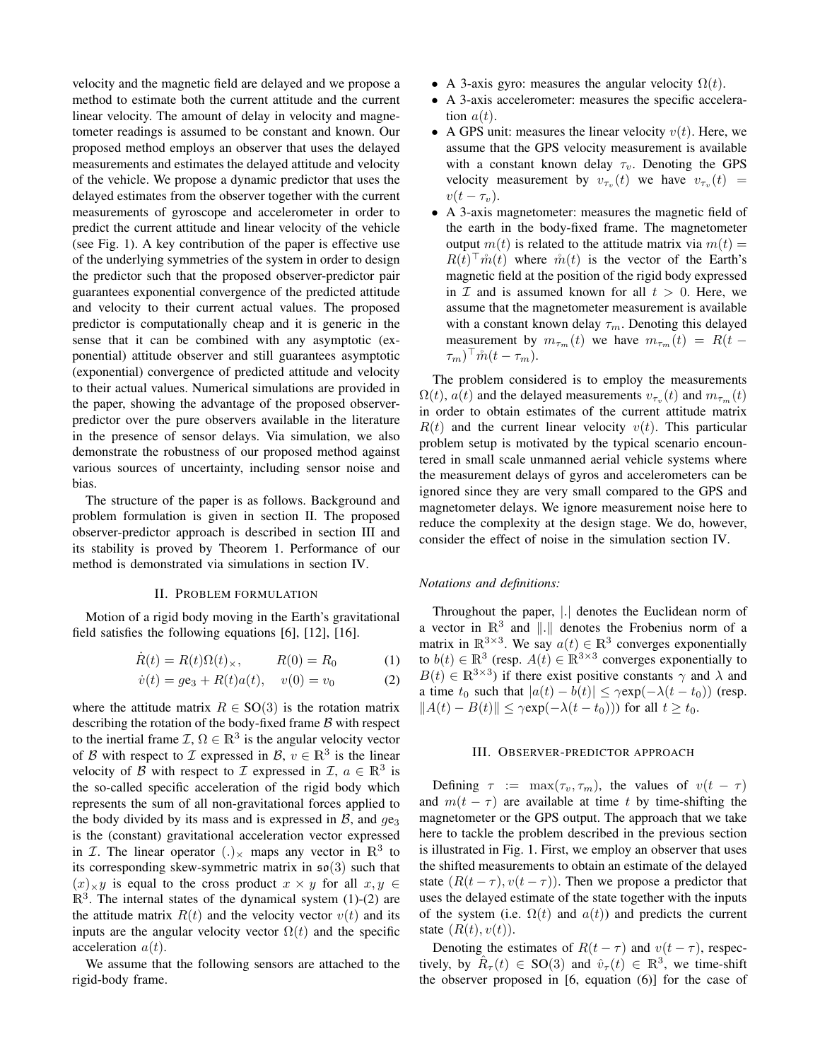velocity and the magnetic field are delayed and we propose a method to estimate both the current attitude and the current linear velocity. The amount of delay in velocity and magnetometer readings is assumed to be constant and known. Our proposed method employs an observer that uses the delayed measurements and estimates the delayed attitude and velocity of the vehicle. We propose a dynamic predictor that uses the delayed estimates from the observer together with the current measurements of gyroscope and accelerometer in order to predict the current attitude and linear velocity of the vehicle (see Fig. 1). A key contribution of the paper is effective use of the underlying symmetries of the system in order to design the predictor such that the proposed observer-predictor pair guarantees exponential convergence of the predicted attitude and velocity to their current actual values. The proposed predictor is computationally cheap and it is generic in the sense that it can be combined with any asymptotic (exponential) attitude observer and still guarantees asymptotic (exponential) convergence of predicted attitude and velocity to their actual values. Numerical simulations are provided in the paper, showing the advantage of the proposed observerpredictor over the pure observers available in the literature in the presence of sensor delays. Via simulation, we also demonstrate the robustness of our proposed method against various sources of uncertainty, including sensor noise and bias.

The structure of the paper is as follows. Background and problem formulation is given in section II. The proposed observer-predictor approach is described in section III and its stability is proved by Theorem 1. Performance of our method is demonstrated via simulations in section IV.

## II. PROBLEM FORMULATION

Motion of a rigid body moving in the Earth's gravitational field satisfies the following equations [6], [12], [16].

$$
\dot{R}(t) = R(t)\Omega(t)_{\times}, \qquad R(0) = R_0 \tag{1}
$$

$$
\dot{v}(t) = g\mathbf{e}_3 + R(t)a(t), \quad v(0) = v_0 \tag{2}
$$

where the attitude matrix  $R \in SO(3)$  is the rotation matrix describing the rotation of the body-fixed frame  $\beta$  with respect to the inertial frame  $\mathcal{I}, \Omega \in \mathbb{R}^3$  is the angular velocity vector of B with respect to I expressed in B,  $v \in \mathbb{R}^3$  is the linear velocity of B with respect to I expressed in I,  $a \in \mathbb{R}^3$  is the so-called specific acceleration of the rigid body which represents the sum of all non-gravitational forces applied to the body divided by its mass and is expressed in  $\beta$ , and  $q\mathbf{e}_3$ is the (constant) gravitational acceleration vector expressed in *T*. The linear operator  $(.)_{\times}$  maps any vector in  $\mathbb{R}^{3}$  to its corresponding skew-symmetric matrix in  $\mathfrak{so}(3)$  such that  $(x) \times y$  is equal to the cross product  $x \times y$  for all  $x, y \in$  $\mathbb{R}^3$ . The internal states of the dynamical system (1)-(2) are the attitude matrix  $R(t)$  and the velocity vector  $v(t)$  and its inputs are the angular velocity vector  $\Omega(t)$  and the specific acceleration  $a(t)$ .

We assume that the following sensors are attached to the rigid-body frame.

- A 3-axis gyro: measures the angular velocity  $\Omega(t)$ .
- A 3-axis accelerometer: measures the specific acceleration  $a(t)$ .
- A GPS unit: measures the linear velocity  $v(t)$ . Here, we assume that the GPS velocity measurement is available with a constant known delay  $\tau_v$ . Denoting the GPS velocity measurement by  $v_{\tau_v}(t)$  we have  $v_{\tau_v}(t)$  =  $v(t-\tau_v)$ .
- A 3-axis magnetometer: measures the magnetic field of the earth in the body-fixed frame. The magnetometer output  $m(t)$  is related to the attitude matrix via  $m(t) =$  $R(t)$ <sup>T</sup> $\mathring{m}(t)$  where  $\mathring{m}(t)$  is the vector of the Earth's magnetic field at the position of the rigid body expressed in  $\mathcal I$  and is assumed known for all  $t > 0$ . Here, we assume that the magnetometer measurement is available with a constant known delay  $\tau_m$ . Denoting this delayed measurement by  $m_{\tau_m}(t)$  we have  $m_{\tau_m}(t) = R(t (\tau_m)^\top \mathring{m}(t-\tau_m).$

The problem considered is to employ the measurements  $\Omega(t)$ ,  $a(t)$  and the delayed measurements  $v_{\tau_v}(t)$  and  $m_{\tau_m}(t)$ in order to obtain estimates of the current attitude matrix  $R(t)$  and the current linear velocity  $v(t)$ . This particular problem setup is motivated by the typical scenario encountered in small scale unmanned aerial vehicle systems where the measurement delays of gyros and accelerometers can be ignored since they are very small compared to the GPS and magnetometer delays. We ignore measurement noise here to reduce the complexity at the design stage. We do, however, consider the effect of noise in the simulation section IV.

#### *Notations and definitions:*

Throughout the paper, |.| denotes the Euclidean norm of a vector in  $\mathbb{R}^3$  and  $\|\cdot\|$  denotes the Frobenius norm of a matrix in  $\mathbb{R}^{3\times 3}$ . We say  $a(t) \in \mathbb{R}^{3}$  converges exponentially to  $b(t) \in \mathbb{R}^3$  (resp.  $A(t) \in \mathbb{R}^{3 \times 3}$  converges exponentially to  $B(t) \in \mathbb{R}^{3 \times 3}$ ) if there exist positive constants  $\gamma$  and  $\lambda$  and a time  $t_0$  such that  $|a(t) - b(t)| \le \gamma \exp(-\lambda(t - t_0))$  (resp.  $||A(t) - B(t)|| \leq \gamma \exp(-\lambda(t - t_0))$  for all  $t \geq t_0$ .

#### III. OBSERVER-PREDICTOR APPROACH

Defining  $\tau$  := max $(\tau_v, \tau_m)$ , the values of  $v(t - \tau)$ and  $m(t - \tau)$  are available at time t by time-shifting the magnetometer or the GPS output. The approach that we take here to tackle the problem described in the previous section is illustrated in Fig. 1. First, we employ an observer that uses the shifted measurements to obtain an estimate of the delayed state  $(R(t - \tau), v(t - \tau))$ . Then we propose a predictor that uses the delayed estimate of the state together with the inputs of the system (i.e.  $\Omega(t)$  and  $a(t)$ ) and predicts the current state  $(R(t), v(t))$ .

Denoting the estimates of  $R(t - \tau)$  and  $v(t - \tau)$ , respectively, by  $\hat{R}_{\tau}(t) \in SO(3)$  and  $\hat{v}_{\tau}(t) \in \mathbb{R}^{3}$ , we time-shift the observer proposed in [6, equation (6)] for the case of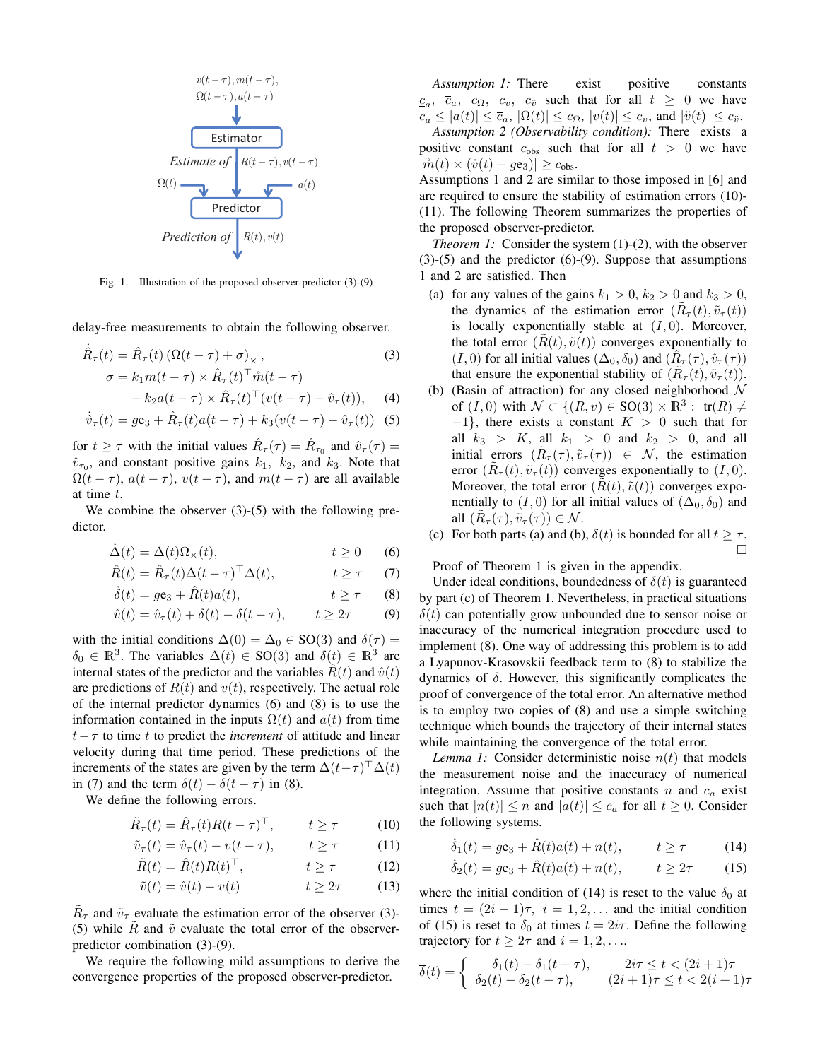

Fig. 1. Illustration of the proposed observer-predictor (3)-(9)

delay-free measurements to obtain the following observer.

$$
\dot{\hat{R}}_{\tau}(t) = \hat{R}_{\tau}(t) \left( \Omega(t - \tau) + \sigma \right)_{\times},
$$
\n
$$
\sigma = k_1 m(t - \tau) \times \hat{R}_{\tau}(t)^\top \hat{m}(t - \tau)
$$
\n(3)

$$
+ k_2 a(t - \tau) \times \hat{R}_{\tau}(t)^{\top} (v(t - \tau) - \hat{v}_{\tau}(t)), \quad (4)
$$

$$
\dot{\hat{v}}_{\tau}(t) = g\mathbf{e}_3 + \hat{R}_{\tau}(t)a(t-\tau) + k_3(v(t-\tau) - \hat{v}_{\tau}(t))
$$
 (5)

for  $t \geq \tau$  with the initial values  $\hat{R}_{\tau}(\tau) = \hat{R}_{\tau_0}$  and  $\hat{v}_{\tau}(\tau) =$  $\hat{v}_{\tau_0}$ , and constant positive gains  $k_1$ ,  $k_2$ , and  $k_3$ . Note that  $\Omega(t - \tau)$ ,  $a(t - \tau)$ ,  $v(t - \tau)$ , and  $m(t - \tau)$  are all available at time t.

We combine the observer  $(3)-(5)$  with the following predictor.

$$
\dot{\Delta}(t) = \Delta(t)\Omega_{\times}(t), \qquad t \ge 0 \qquad (6)
$$

$$
\hat{R}(t) = \hat{R}_{\tau}(t)\Delta(t-\tau)^{\top}\Delta(t), \qquad t \ge \tau \qquad (7)
$$

$$
\dot{\delta}(t) = ge_3 + \hat{R}(t)a(t), \qquad t \ge \tau \qquad (8)
$$

$$
\hat{v}(t) = \hat{v}_{\tau}(t) + \delta(t) - \delta(t - \tau), \qquad t \ge 2\tau \tag{9}
$$

with the initial conditions  $\Delta(0) = \Delta_0 \in SO(3)$  and  $\delta(\tau) =$  $\delta_0 \in \mathbb{R}^3$ . The variables  $\Delta(t) \in SO(3)$  and  $\delta(t) \in \mathbb{R}^3$  are internal states of the predictor and the variables  $\hat{R}(t)$  and  $\hat{v}(t)$ are predictions of  $R(t)$  and  $v(t)$ , respectively. The actual role of the internal predictor dynamics (6) and (8) is to use the information contained in the inputs  $\Omega(t)$  and  $a(t)$  from time  $t - \tau$  to time t to predict the *increment* of attitude and linear velocity during that time period. These predictions of the increments of the states are given by the term  $\Delta(t-\tau)^\top \Delta(t)$ in (7) and the term  $\delta(t) - \delta(t - \tau)$  in (8).

We define the following errors.

$$
\tilde{R}_{\tau}(t) = \hat{R}_{\tau}(t)R(t-\tau)^{\top}, \qquad t \ge \tau \tag{10}
$$

$$
\tilde{v}_{\tau}(t) = \hat{v}_{\tau}(t) - v(t - \tau), \qquad t \ge \tau \tag{11}
$$

$$
\tilde{R}(t) = \hat{R}(t)R(t)^{\top}, \qquad t \ge \tau \qquad (12)
$$

$$
\tilde{v}(t) = \hat{v}(t) - v(t) \qquad \qquad t \ge 2\tau \qquad (13)
$$

 $\tilde{R}_{\tau}$  and  $\tilde{v}_{\tau}$  evaluate the estimation error of the observer (3)-(5) while R and  $\tilde{v}$  evaluate the total error of the observerpredictor combination (3)-(9).

We require the following mild assumptions to derive the convergence properties of the proposed observer-predictor.

*Assumption 1:* There exist positive constants  $c_a$ ,  $\overline{c}_a$ ,  $c_{\Omega}$ ,  $c_v$ ,  $c_{\overline{v}}$  such that for all  $t \geq 0$  we have  $c_a \leq |a(t)| \leq \overline{c}_a, |\Omega(t)| \leq c_\Omega, |v(t)| \leq c_v$ , and  $|\ddot{v}(t)| \leq c_{\ddot{v}}$ .

*Assumption 2 (Observability condition):* There exists a positive constant  $c_{obs}$  such that for all  $t > 0$  we have  $|\mathring{m}(t) \times (\dot{v}(t) - g\mathbf{e}_3)| \geq c_{\text{obs}}.$ 

Assumptions 1 and 2 are similar to those imposed in [6] and are required to ensure the stability of estimation errors (10)- (11). The following Theorem summarizes the properties of the proposed observer-predictor.

*Theorem 1:* Consider the system (1)-(2), with the observer (3)-(5) and the predictor (6)-(9). Suppose that assumptions 1 and 2 are satisfied. Then

- (a) for any values of the gains  $k_1 > 0$ ,  $k_2 > 0$  and  $k_3 > 0$ , the dynamics of the estimation error  $(\tilde{R}_{\tau}(t), \tilde{v}_{\tau}(t))$ is locally exponentially stable at  $(I, 0)$ . Moreover, the total error  $(R(t), \tilde{v}(t))$  converges exponentially to  $(I, 0)$  for all initial values  $(\Delta_0, \delta_0)$  and  $(\hat{R}_\tau(\tau), \hat{v}_\tau(\tau))$ that ensure the exponential stability of  $(\tilde{R}_{\tau}(t), \tilde{v}_{\tau}(t))$ .
- (b) (Basin of attraction) for any closed neighborhood  $\mathcal N$ of  $(I, 0)$  with  $\mathcal{N} \subset \{(R, v) \in SO(3) \times \mathbb{R}^3 : \text{tr}(R) \neq$  $-1$ }, there exists a constant  $K > 0$  such that for all  $k_3 > K$ , all  $k_1 > 0$  and  $k_2 > 0$ , and all initial errors  $(\tilde{R}_{\tau}(\tau), \tilde{v}_{\tau}(\tau)) \in \mathcal{N}$ , the estimation error  $(\tilde{R}_{\tau}(t), \tilde{v}_{\tau}(t))$  converges exponentially to  $(I, 0)$ . Moreover, the total error  $(R(t), \tilde{v}(t))$  converges exponentially to  $(I, 0)$  for all initial values of  $(\Delta_0, \delta_0)$  and all  $(\tilde{R}_{\tau}(\tau), \tilde{v}_{\tau}(\tau)) \in \mathcal{N}$ .
- (c) For both parts (a) and (b),  $\delta(t)$  is bounded for all  $t \geq \tau$ .  $\Box$

Proof of Theorem 1 is given in the appendix.

Under ideal conditions, boundedness of  $\delta(t)$  is guaranteed by part (c) of Theorem 1. Nevertheless, in practical situations  $\delta(t)$  can potentially grow unbounded due to sensor noise or inaccuracy of the numerical integration procedure used to implement (8). One way of addressing this problem is to add a Lyapunov-Krasovskii feedback term to (8) to stabilize the dynamics of δ. However, this significantly complicates the proof of convergence of the total error. An alternative method is to employ two copies of (8) and use a simple switching technique which bounds the trajectory of their internal states while maintaining the convergence of the total error.

*Lemma 1:* Consider deterministic noise  $n(t)$  that models the measurement noise and the inaccuracy of numerical integration. Assume that positive constants  $\overline{n}$  and  $\overline{c}_a$  exist such that  $|n(t)| \leq \overline{n}$  and  $|a(t)| \leq \overline{c}_a$  for all  $t \geq 0$ . Consider the following systems.

$$
\dot{\delta}_1(t) = g\mathbf{e}_3 + \hat{R}(t)a(t) + n(t), \qquad t \ge \tau \tag{14}
$$

$$
\dot{\delta}_2(t) = g\mathbf{e}_3 + \hat{R}(t)a(t) + n(t), \qquad t \ge 2\tau \tag{15}
$$

where the initial condition of (14) is reset to the value  $\delta_0$  at times  $t = (2i - 1)\tau$ ,  $i = 1, 2, \ldots$  and the initial condition of (15) is reset to  $\delta_0$  at times  $t = 2i\tau$ . Define the following trajectory for  $t \geq 2\tau$  and  $i = 1, 2, \ldots$ 

$$
\overline{\delta}(t) = \begin{cases}\n\delta_1(t) - \delta_1(t - \tau), & 2i\tau \le t < (2i + 1)\tau \\
\delta_2(t) - \delta_2(t - \tau), & (2i + 1)\tau \le t < 2(i + 1)\tau\n\end{cases}
$$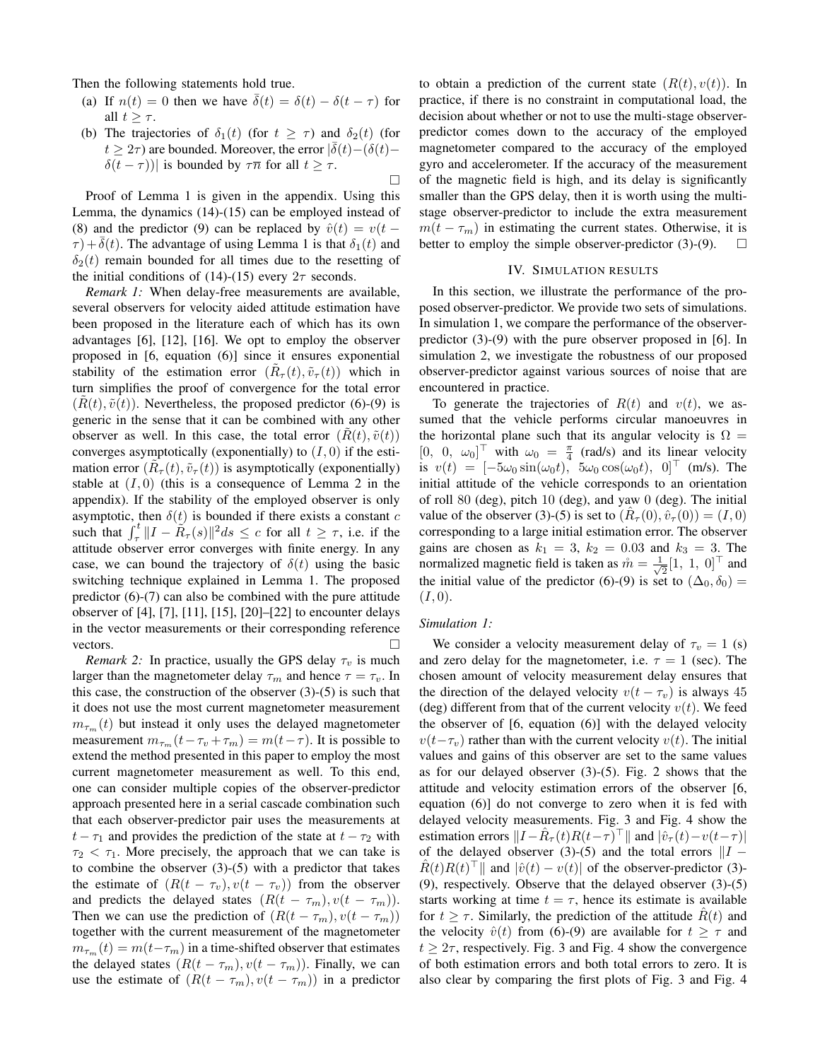Then the following statements hold true.

- (a) If  $n(t) = 0$  then we have  $\overline{\delta}(t) = \delta(t) \delta(t \tau)$  for all  $t \geq \tau$ .
- (b) The trajectories of  $\delta_1(t)$  (for  $t \geq \tau$ ) and  $\delta_2(t)$  (for  $t \geq 2\tau$ ) are bounded. Moreover, the error  $|\bar{\delta}(t) - (\delta(t) \delta(t-\tau)$ )| is bounded by  $\tau \bar{n}$  for all  $t \geq \tau$ .

Proof of Lemma 1 is given in the appendix. Using this Lemma, the dynamics (14)-(15) can be employed instead of (8) and the predictor (9) can be replaced by  $\hat{v}(t) = v(t \tau$ )+ $\delta(t)$ . The advantage of using Lemma 1 is that  $\delta_1(t)$  and  $\delta_2(t)$  remain bounded for all times due to the resetting of the initial conditions of (14)-(15) every  $2\tau$  seconds.

*Remark 1:* When delay-free measurements are available, several observers for velocity aided attitude estimation have been proposed in the literature each of which has its own advantages [6], [12], [16]. We opt to employ the observer proposed in [6, equation (6)] since it ensures exponential stability of the estimation error  $(\tilde{R}_{\tau}(t), \tilde{v}_{\tau}(t))$  which in turn simplifies the proof of convergence for the total error  $(R(t), \tilde{v}(t))$ . Nevertheless, the proposed predictor (6)-(9) is generic in the sense that it can be combined with any other observer as well. In this case, the total error  $(R(t), \tilde{v}(t))$ converges asymptotically (exponentially) to  $(I, 0)$  if the estimation error  $(\tilde{R}_{\tau}(t), \tilde{v}_{\tau}(t))$  is asymptotically (exponentially) stable at  $(I, 0)$  (this is a consequence of Lemma 2 in the appendix). If the stability of the employed observer is only asymptotic, then  $\delta(t)$  is bounded if there exists a constant c such that  $\int_{\tau}^{t} ||I - \tilde{R}_{\tau}(s)||^2 ds \leq c$  for all  $t \geq \tau$ , i.e. if the attitude observer error converges with finite energy. In any case, we can bound the trajectory of  $\delta(t)$  using the basic switching technique explained in Lemma 1. The proposed predictor (6)-(7) can also be combined with the pure attitude observer of [4], [7], [11], [15], [20]–[22] to encounter delays in the vector measurements or their corresponding reference vectors.

*Remark 2:* In practice, usually the GPS delay  $\tau_v$  is much larger than the magnetometer delay  $\tau_m$  and hence  $\tau = \tau_v$ . In this case, the construction of the observer  $(3)-(5)$  is such that it does not use the most current magnetometer measurement  $m_{\tau_m}(t)$  but instead it only uses the delayed magnetometer measurement  $m_{\tau_m}(t-\tau_v+\tau_m) = m(t-\tau)$ . It is possible to extend the method presented in this paper to employ the most current magnetometer measurement as well. To this end, one can consider multiple copies of the observer-predictor approach presented here in a serial cascade combination such that each observer-predictor pair uses the measurements at  $t - \tau_1$  and provides the prediction of the state at  $t - \tau_2$  with  $\tau_2 < \tau_1$ . More precisely, the approach that we can take is to combine the observer  $(3)-(5)$  with a predictor that takes the estimate of  $(R(t - \tau_v), v(t - \tau_v))$  from the observer and predicts the delayed states  $(R(t - \tau_m), v(t - \tau_m))$ . Then we can use the prediction of  $(R(t - \tau_m), v(t - \tau_m))$ together with the current measurement of the magnetometer  $m_{\tau_m}(t) = m(t-\tau_m)$  in a time-shifted observer that estimates the delayed states  $(R(t - \tau_m), v(t - \tau_m))$ . Finally, we can use the estimate of  $(R(t - \tau_m), v(t - \tau_m))$  in a predictor to obtain a prediction of the current state  $(R(t), v(t))$ . In practice, if there is no constraint in computational load, the decision about whether or not to use the multi-stage observerpredictor comes down to the accuracy of the employed magnetometer compared to the accuracy of the employed gyro and accelerometer. If the accuracy of the measurement of the magnetic field is high, and its delay is significantly smaller than the GPS delay, then it is worth using the multistage observer-predictor to include the extra measurement  $m(t - \tau_m)$  in estimating the current states. Otherwise, it is better to employ the simple observer-predictor (3)-(9).  $\Box$ 

### IV. SIMULATION RESULTS

In this section, we illustrate the performance of the proposed observer-predictor. We provide two sets of simulations. In simulation 1, we compare the performance of the observerpredictor (3)-(9) with the pure observer proposed in [6]. In simulation 2, we investigate the robustness of our proposed observer-predictor against various sources of noise that are encountered in practice.

To generate the trajectories of  $R(t)$  and  $v(t)$ , we assumed that the vehicle performs circular manoeuvres in the horizontal plane such that its angular velocity is  $\Omega =$  $[0, 0, \omega_0]^\top$  with  $\omega_0 = \frac{\pi}{4}$  (rad/s) and its linear velocity is  $v(t) = [-5\omega_0 \sin(\omega_0 t), 5\omega_0 \cos(\omega_0 t), 0]^\top$  (m/s). The initial attitude of the vehicle corresponds to an orientation of roll 80 (deg), pitch 10 (deg), and yaw 0 (deg). The initial value of the observer (3)-(5) is set to  $(\hat{R}_{\tau}(0), \hat{v}_{\tau}(0)) = (I, 0)$ corresponding to a large initial estimation error. The observer gains are chosen as  $k_1 = 3$ ,  $k_2 = 0.03$  and  $k_3 = 3$ . The normalized magnetic field is taken as  $\hat{m} = \frac{1}{\sqrt{2}}$  $\frac{1}{2}[1, 1, 0]^\top$  and the initial value of the predictor (6)-(9) is set to  $(\Delta_0, \delta_0)$  =  $(I, 0).$ 

#### *Simulation 1:*

 $\Box$ 

We consider a velocity measurement delay of  $\tau_v = 1$  (s) and zero delay for the magnetometer, i.e.  $\tau = 1$  (sec). The chosen amount of velocity measurement delay ensures that the direction of the delayed velocity  $v(t - \tau_v)$  is always 45 (deg) different from that of the current velocity  $v(t)$ . We feed the observer of [6, equation (6)] with the delayed velocity  $v(t-\tau_v)$  rather than with the current velocity  $v(t)$ . The initial values and gains of this observer are set to the same values as for our delayed observer (3)-(5). Fig. 2 shows that the attitude and velocity estimation errors of the observer [6, equation (6)] do not converge to zero when it is fed with delayed velocity measurements. Fig. 3 and Fig. 4 show the estimation errors  $||I - \hat{R}_{\tau}(t)R(t-\tau)^{\top}||$  and  $|\hat{v}_{\tau}(t)-v(t-\tau)|$ of the delayed observer (3)-(5) and the total errors  $||I \hat{R}(t)R(t)^\top$  and  $|\hat{v}(t) - v(t)|$  of the observer-predictor (3)-(9), respectively. Observe that the delayed observer (3)-(5) starts working at time  $t = \tau$ , hence its estimate is available for  $t \geq \tau$ . Similarly, the prediction of the attitude  $R(t)$  and the velocity  $\hat{v}(t)$  from (6)-(9) are available for  $t \geq \tau$  and  $t \geq 2\tau$ , respectively. Fig. 3 and Fig. 4 show the convergence of both estimation errors and both total errors to zero. It is also clear by comparing the first plots of Fig. 3 and Fig. 4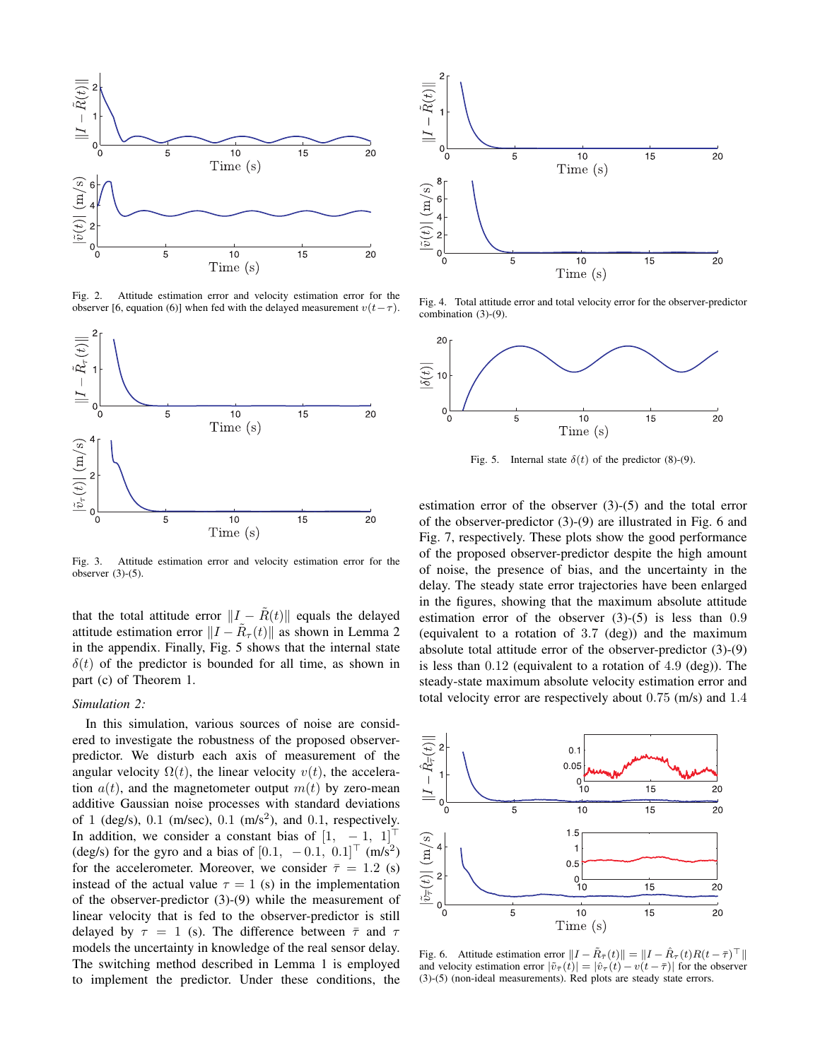

Fig. 2. Attitude estimation error and velocity estimation error for the observer [6, equation (6)] when fed with the delayed measurement  $v(t-\tau)$ .



Fig. 3. Attitude estimation error and velocity estimation error for the observer  $(3)-(5)$ .

that the total attitude error  $||I - \tilde{R}(t)||$  equals the delayed attitude estimation error  $||I - \tilde{R}_{\tau}(t)||$  as shown in Lemma 2 in the appendix. Finally, Fig. 5 shows that the internal state  $\delta(t)$  of the predictor is bounded for all time, as shown in part (c) of Theorem 1.

## *Simulation 2:*

In this simulation, various sources of noise are considered to investigate the robustness of the proposed observerpredictor. We disturb each axis of measurement of the angular velocity  $\Omega(t)$ , the linear velocity  $v(t)$ , the acceleration  $a(t)$ , and the magnetometer output  $m(t)$  by zero-mean additive Gaussian noise processes with standard deviations of 1 (deg/s),  $0.1$  (m/sec),  $0.1$  (m/s<sup>2</sup>), and  $0.1$ , respectively. In addition, we consider a constant bias of  $[1, -1, 1]$ (deg/s) for the gyro and a bias of  $[0.1, -0.1, 0.1]^\top$  (m/s<sup>2</sup>) for the accelerometer. Moreover, we consider  $\bar{\tau} = 1.2$  (s) instead of the actual value  $\tau = 1$  (s) in the implementation of the observer-predictor (3)-(9) while the measurement of linear velocity that is fed to the observer-predictor is still delayed by  $\tau = 1$  (s). The difference between  $\bar{\tau}$  and  $\tau$ models the uncertainty in knowledge of the real sensor delay. The switching method described in Lemma 1 is employed to implement the predictor. Under these conditions, the



Fig. 4. Total attitude error and total velocity error for the observer-predictor combination (3)-(9).



Fig. 5. Internal state  $\delta(t)$  of the predictor (8)-(9).

estimation error of the observer (3)-(5) and the total error of the observer-predictor (3)-(9) are illustrated in Fig. 6 and Fig. 7, respectively. These plots show the good performance of the proposed observer-predictor despite the high amount of noise, the presence of bias, and the uncertainty in the delay. The steady state error trajectories have been enlarged in the figures, showing that the maximum absolute attitude estimation error of the observer  $(3)-(5)$  is less than 0.9 (equivalent to a rotation of 3.7 (deg)) and the maximum absolute total attitude error of the observer-predictor (3)-(9) is less than 0.12 (equivalent to a rotation of 4.9 (deg)). The steady-state maximum absolute velocity estimation error and total velocity error are respectively about 0.75 (m/s) and 1.4



Fig. 6. Attitude estimation error  $||I - \tilde{R}_{\bar{\tau}}(t)|| = ||I - \hat{R}_{\tau}(t)R(t - \bar{\tau})^{\top}||$ and velocity estimation error  $|\tilde{v}_{\bar{\tau}}(\vec{t})| = |\hat{v}_{\tau}(\vec{t}) - v(\vec{t} - \bar{\tau})|$  for the observer (3)-(5) (non-ideal measurements). Red plots are steady state errors.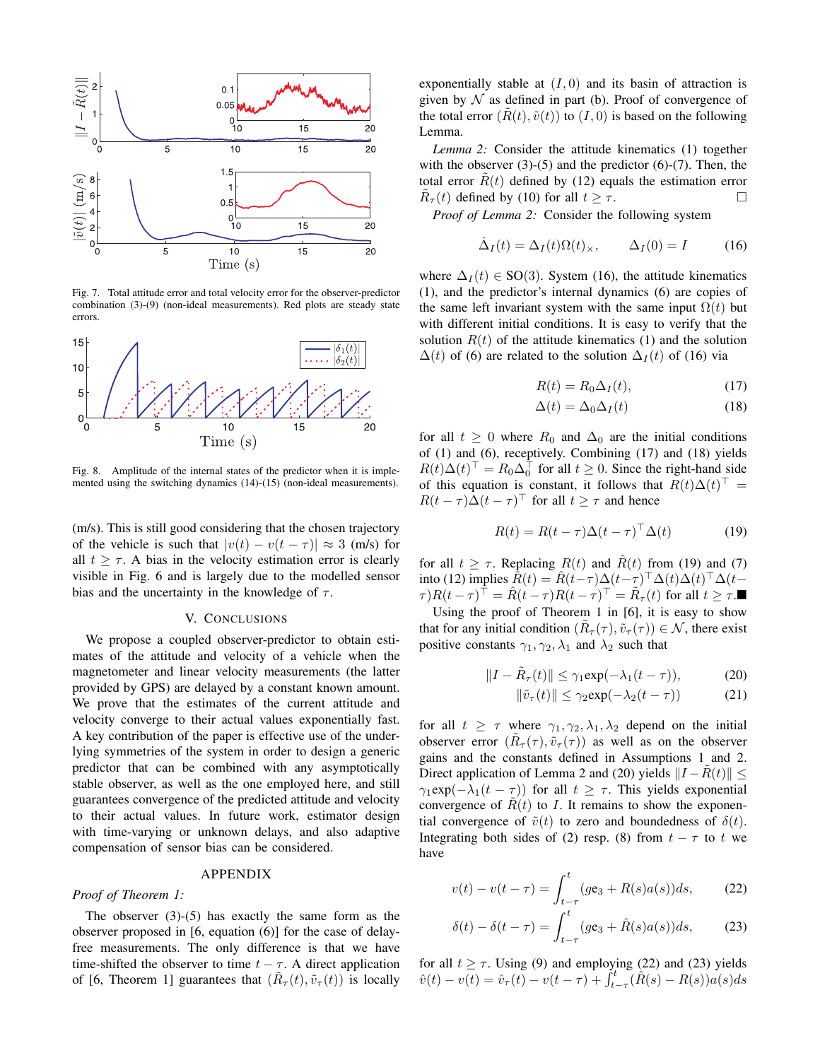

Fig. 7. Total attitude error and total velocity error for the observer-predictor combination (3)-(9) (non-ideal measurements). Red plots are steady state errors



Fig. 8. Amplitude of the internal states of the predictor when it is implemented using the switching dynamics (14)-(15) (non-ideal measurements).

(m/s). This is still good considering that the chosen trajectory of the vehicle is such that  $|v(t) - v(t - \tau)| \approx 3$  (m/s) for all  $t \geq \tau$ . A bias in the velocity estimation error is clearly visible in Fig. 6 and is largely due to the modelled sensor bias and the uncertainty in the knowledge of  $\tau$ .

# V. CONCLUSIONS

We propose a coupled observer-predictor to obtain estimates of the attitude and velocity of a vehicle when the magnetometer and linear velocity measurements (the latter provided by GPS) are delayed by a constant known amount. We prove that the estimates of the current attitude and velocity converge to their actual values exponentially fast. A key contribution of the paper is effective use of the underlying symmetries of the system in order to design a generic predictor that can be combined with any asymptotically stable observer, as well as the one employed here, and still guarantees convergence of the predicted attitude and velocity to their actual values. In future work, estimator design with time-varying or unknown delays, and also adaptive compensation of sensor bias can be considered.

## APPENDIX

# *Proof of Theorem 1:*

The observer  $(3)-(5)$  has exactly the same form as the observer proposed in [6, equation (6)] for the case of delayfree measurements. The only difference is that we have time-shifted the observer to time  $t - \tau$ . A direct application of [6, Theorem 1] guarantees that  $(\tilde{R}_{\tau}(t), \tilde{v}_{\tau}(t))$  is locally

exponentially stable at  $(I, 0)$  and its basin of attraction is given by  $N$  as defined in part (b). Proof of convergence of the total error  $(R(t), \tilde{v}(t))$  to  $(I, 0)$  is based on the following Lemma.

*Lemma 2:* Consider the attitude kinematics (1) together with the observer  $(3)-(5)$  and the predictor  $(6)-(7)$ . Then, the total error  $R(t)$  defined by (12) equals the estimation error  $\tilde{R}_{\tau}(t)$  defined by (10) for all  $t \geq \tau$ .

*Proof of Lemma 2:* Consider the following system

$$
\dot{\Delta}_I(t) = \Delta_I(t)\Omega(t)_\times, \qquad \Delta_I(0) = I \tag{16}
$$

where  $\Delta_I(t) \in SO(3)$ . System (16), the attitude kinematics (1), and the predictor's internal dynamics (6) are copies of the same left invariant system with the same input  $\Omega(t)$  but with different initial conditions. It is easy to verify that the solution  $R(t)$  of the attitude kinematics (1) and the solution  $\Delta(t)$  of (6) are related to the solution  $\Delta_I(t)$  of (16) via

$$
R(t) = R_0 \Delta_I(t),\tag{17}
$$

$$
\Delta(t) = \Delta_0 \Delta_I(t) \tag{18}
$$

for all  $t \geq 0$  where  $R_0$  and  $\Delta_0$  are the initial conditions of (1) and (6), receptively. Combining (17) and (18) yields  $R(t)\Delta(t)^\top = R_0\Delta_0^\top$  for all  $t \ge 0$ . Since the right-hand side of this equation is constant, it follows that  $R(t)\Delta(t)^\top =$  $R(t - \tau)\Delta(t - \tau)^{\top}$  for all  $t \geq \tau$  and hence

$$
R(t) = R(t - \tau) \Delta(t - \tau)^{\top} \Delta(t)
$$
 (19)

for all  $t \geq \tau$ . Replacing  $R(t)$  and  $\hat{R}(t)$  from (19) and (7) into (12) implies  $\hat{R}(t) = \hat{R}(t-\tau)\Delta(t-\tau)^{\top} \Delta(t)\Delta(t)^{\top} \Delta(t-\tau)$  $\tau$ ) $R(t-\tau)^\top = \hat{R}(t-\tau)R(t-\tau)^\top = \tilde{R}_{\tau}(t)$  for all  $t \geq \tau$ .

Using the proof of Theorem 1 in [6], it is easy to show that for any initial condition  $(\tilde{R}_{\tau}(\tau), \tilde{v}_{\tau}(\tau)) \in \mathcal{N}$ , there exist positive constants  $\gamma_1, \gamma_2, \lambda_1$  and  $\lambda_2$  such that

$$
||I - \tilde{R}_{\tau}(t)|| \leq \gamma_1 \exp(-\lambda_1(t - \tau)), \tag{20}
$$

$$
\|\tilde{v}_{\tau}(t)\| \le \gamma_2 \exp(-\lambda_2(t-\tau))\tag{21}
$$

for all  $t \geq \tau$  where  $\gamma_1, \gamma_2, \lambda_1, \lambda_2$  depend on the initial observer error  $(\tilde{R}_{\tau}(\tau), \tilde{v}_{\tau}(\tau))$  as well as on the observer gains and the constants defined in Assumptions 1 and 2. Direct application of Lemma 2 and (20) yields  $||I - R(t)|| \le$  $\gamma_1 \exp(-\lambda_1(t-\tau))$  for all  $t \geq \tau$ . This yields exponential convergence of  $R(t)$  to I. It remains to show the exponential convergence of  $\tilde{v}(t)$  to zero and boundedness of  $\delta(t)$ . Integrating both sides of (2) resp. (8) from  $t - \tau$  to t we have

$$
v(t) - v(t - \tau) = \int_{t - \tau}^{t} (g \mathbf{e}_3 + R(s) a(s)) ds, \qquad (22)
$$

$$
\delta(t) - \delta(t - \tau) = \int_{t-\tau}^{t} (g\mathbf{e}_3 + \hat{R}(s)a(s))ds,\tag{23}
$$

for all  $t \geq \tau$ . Using (9) and employing (22) and (23) yields  $\hat{v}(t) - v(t) = \hat{v}_{\tau}(t) - v(t - \tau) + \int_{t-\tau}^{t} (\hat{R}(s) - R(s))a(s)ds$